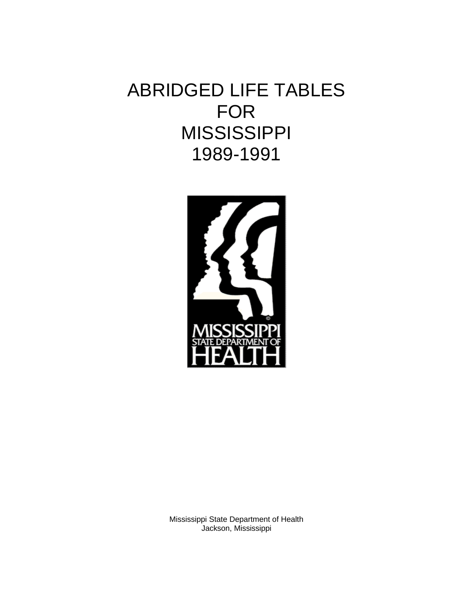# ABRIDGED LIFE TABLES FOR **MISSISSIPPI** 1989-1991



Mississippi State Department of Health Jackson, Mississippi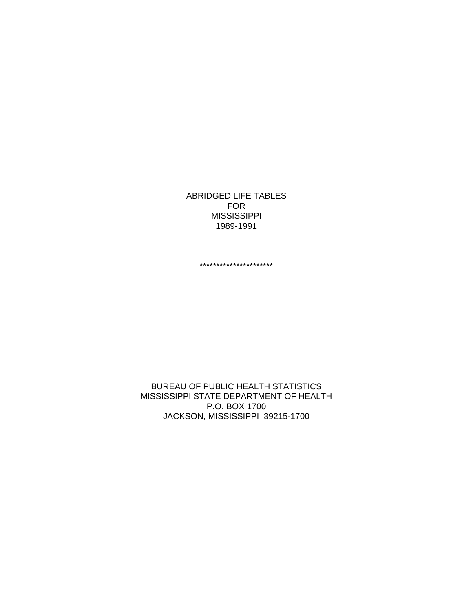ABRIDGED LIFE TABLES FOR MISSISSIPPI 1989-1991

\*\*\*\*\*\*\*\*\*\*\*\*\*\*\*\*\*\*\*\*\*\*

BUREAU OF PUBLIC HEALTH STATISTICS MISSISSIPPI STATE DEPARTMENT OF HEALTH P.O. BOX 1700 JACKSON, MISSISSIPPI 39215-1700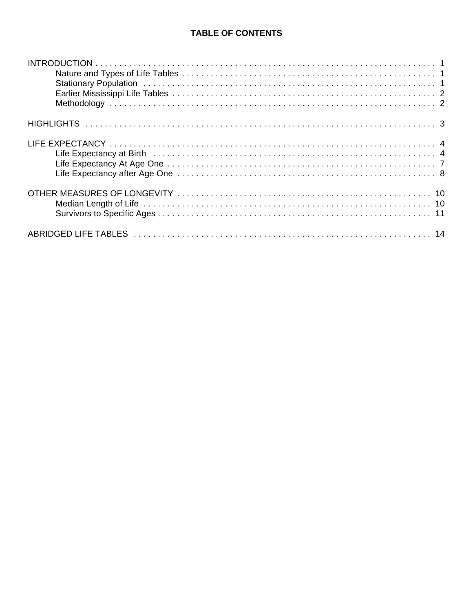## **TABLE OF CONTENTS**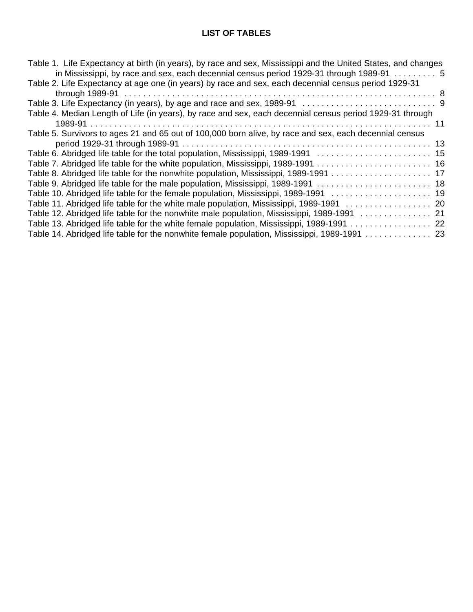## **LIST OF TABLES**

| Table 1. Life Expectancy at birth (in years), by race and sex, Mississippi and the United States, and changes |
|---------------------------------------------------------------------------------------------------------------|
| in Mississippi, by race and sex, each decennial census period 1929-31 through 1989-91 5                       |
| Table 2. Life Expectancy at age one (in years) by race and sex, each decennial census period 1929-31          |
|                                                                                                               |
|                                                                                                               |
| Table 4. Median Length of Life (in years), by race and sex, each decennial census period 1929-31 through      |
|                                                                                                               |
| Table 5. Survivors to ages 21 and 65 out of 100,000 born alive, by race and sex, each decennial census        |
|                                                                                                               |
|                                                                                                               |
| Table 7. Abridged life table for the white population, Mississippi, 1989-1991  16                             |
|                                                                                                               |
|                                                                                                               |
|                                                                                                               |
|                                                                                                               |
| Table 12. Abridged life table for the nonwhite male population, Mississippi, 1989-1991  21                    |
|                                                                                                               |
| Table 14. Abridged life table for the nonwhite female population, Mississippi, 1989-1991 23                   |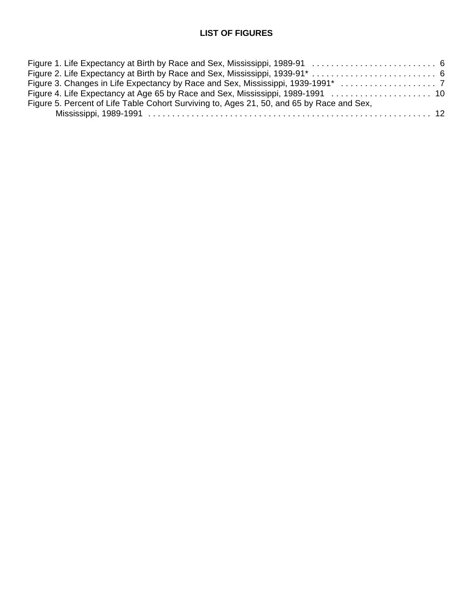## **LIST OF FIGURES**

| Figure 5. Percent of Life Table Cohort Surviving to, Ages 21, 50, and 65 by Race and Sex, |
|-------------------------------------------------------------------------------------------|
|                                                                                           |
|                                                                                           |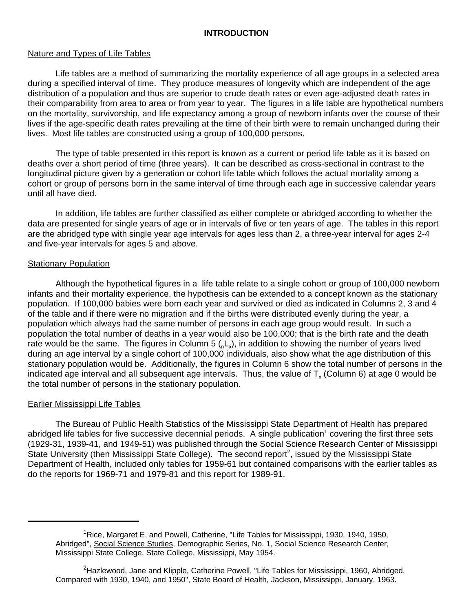#### **INTRODUCTION**

#### Nature and Types of Life Tables

Life tables are a method of summarizing the mortality experience of all age groups in a selected area during a specified interval of time. They produce measures of longevity which are independent of the age distribution of a population and thus are superior to crude death rates or even age-adjusted death rates in their comparability from area to area or from year to year. The figures in a life table are hypothetical numbers on the mortality, survivorship, and life expectancy among a group of newborn infants over the course of their lives if the age-specific death rates prevailing at the time of their birth were to remain unchanged during their lives. Most life tables are constructed using a group of 100,000 persons.

The type of table presented in this report is known as a current or period life table as it is based on deaths over a short period of time (three years). It can be described as cross-sectional in contrast to the longitudinal picture given by a generation or cohort life table which follows the actual mortality among a cohort or group of persons born in the same interval of time through each age in successive calendar years until all have died.

In addition, life tables are further classified as either complete or abridged according to whether the data are presented for single years of age or in intervals of five or ten years of age. The tables in this report are the abridged type with single year age intervals for ages less than 2, a three-year interval for ages 2-4 and five-year intervals for ages 5 and above.

#### **Stationary Population**

Although the hypothetical figures in a life table relate to a single cohort or group of 100,000 newborn infants and their mortality experience, the hypothesis can be extended to a concept known as the stationary population. If 100,000 babies were born each year and survived or died as indicated in Columns 2, 3 and 4 of the table and if there were no migration and if the births were distributed evenly during the year, a population which always had the same number of persons in each age group would result. In such a population the total number of deaths in a year would also be 100,000; that is the birth rate and the death rate would be the same. The figures in Column 5 (<sub>n</sub>L<sub>x</sub>), in addition to showing the number of years lived during an age interval by a single cohort of 100,000 individuals, also show what the age distribution of this stationary population would be. Additionally, the figures in Column 6 show the total number of persons in the indicated age interval and all subsequent age intervals. Thus, the value of  ${\sf T}_{\sf x}$  (Column 6) at age 0 would be the total number of persons in the stationary population.

#### Earlier Mississippi Life Tables

The Bureau of Public Health Statistics of the Mississippi State Department of Health has prepared abridged life tables for five successive decennial periods. A single publication<sup>1</sup> covering the first three sets (1929-31, 1939-41, and 1949-51) was published through the Social Science Research Center of Mississippi State University (then Mississippi State College). The second report<sup>2</sup>, issued by the Mississippi State Department of Health, included only tables for 1959-61 but contained comparisons with the earlier tables as do the reports for 1969-71 and 1979-81 and this report for 1989-91.

<sup>&</sup>lt;sup>1</sup>Rice, Margaret E. and Powell, Catherine, "Life Tables for Mississippi, 1930, 1940, 1950, Abridged", Social Science Studies, Demographic Series, No. 1, Social Science Research Center, Mississippi State College, State College, Mississippi, May 1954.

 $2$ Hazlewood, Jane and Klipple, Catherine Powell, "Life Tables for Mississippi, 1960, Abridged, Compared with 1930, 1940, and 1950", State Board of Health, Jackson, Mississippi, January, 1963.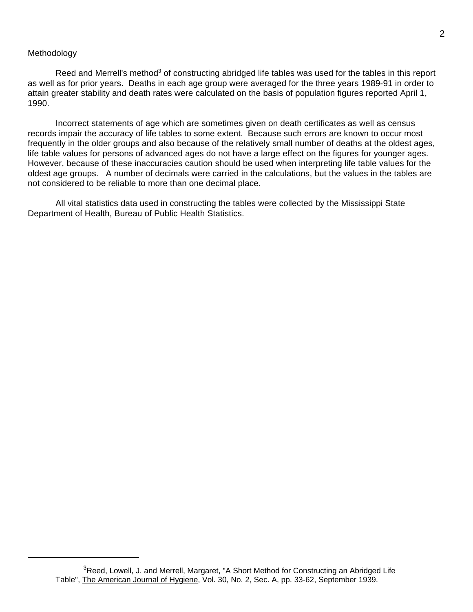#### **Methodology**

Reed and Merrell's method<sup>3</sup> of constructing abridged life tables was used for the tables in this report as well as for prior years. Deaths in each age group were averaged for the three years 1989-91 in order to attain greater stability and death rates were calculated on the basis of population figures reported April 1, 1990.

Incorrect statements of age which are sometimes given on death certificates as well as census records impair the accuracy of life tables to some extent. Because such errors are known to occur most frequently in the older groups and also because of the relatively small number of deaths at the oldest ages, life table values for persons of advanced ages do not have a large effect on the figures for younger ages. However, because of these inaccuracies caution should be used when interpreting life table values for the oldest age groups. A number of decimals were carried in the calculations, but the values in the tables are not considered to be reliable to more than one decimal place.

All vital statistics data used in constructing the tables were collected by the Mississippi State Department of Health, Bureau of Public Health Statistics.

 ${}^{3}$ Reed, Lowell, J. and Merrell, Margaret, "A Short Method for Constructing an Abridged Life Table", The American Journal of Hygiene, Vol. 30, No. 2, Sec. A, pp. 33-62, September 1939.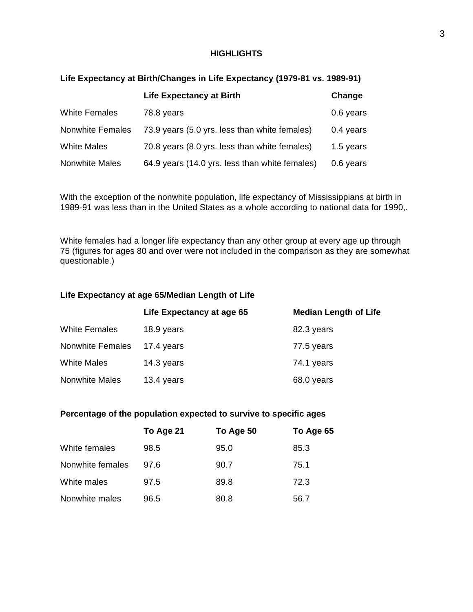#### **HIGHLIGHTS**

#### **Life Expectancy at Birth/Changes in Life Expectancy (1979-81 vs. 1989-91)**

|                         | <b>Life Expectancy at Birth</b>                | Change    |
|-------------------------|------------------------------------------------|-----------|
| <b>White Females</b>    | 78.8 years                                     | 0.6 years |
| <b>Nonwhite Females</b> | 73.9 years (5.0 yrs. less than white females)  | 0.4 years |
| <b>White Males</b>      | 70.8 years (8.0 yrs. less than white females)  | 1.5 years |
| <b>Nonwhite Males</b>   | 64.9 years (14.0 yrs. less than white females) | 0.6 years |

With the exception of the nonwhite population, life expectancy of Mississippians at birth in 1989-91 was less than in the United States as a whole according to national data for 1990,.

White females had a longer life expectancy than any other group at every age up through 75 (figures for ages 80 and over were not included in the comparison as they are somewhat questionable.)

#### **Life Expectancy at age 65/Median Length of Life**

|                      | Life Expectancy at age 65 | <b>Median Length of Life</b> |
|----------------------|---------------------------|------------------------------|
| <b>White Females</b> | 18.9 years                | 82.3 years                   |
| Nonwhite Females     | 17.4 years                | 77.5 years                   |
| <b>White Males</b>   | 14.3 years                | 74.1 years                   |
| Nonwhite Males       | 13.4 years                | 68.0 years                   |

#### **Percentage of the population expected to survive to specific ages**

|                  | To Age 21 | To Age 50 | To Age 65 |
|------------------|-----------|-----------|-----------|
| White females    | 98.5      | 95.0      | 85.3      |
| Nonwhite females | 97.6      | 90.7      | 75.1      |
| White males      | 97.5      | 89.8      | 72.3      |
| Nonwhite males   | 96.5      | 80.8      | 56.7      |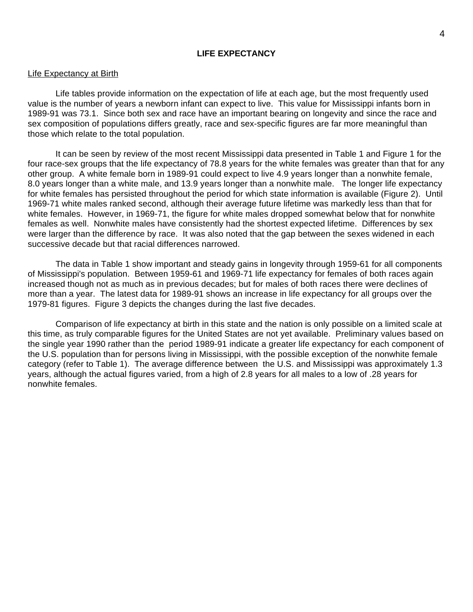#### **LIFE EXPECTANCY**

#### Life Expectancy at Birth

Life tables provide information on the expectation of life at each age, but the most frequently used value is the number of years a newborn infant can expect to live. This value for Mississippi infants born in 1989-91 was 73.1. Since both sex and race have an important bearing on longevity and since the race and sex composition of populations differs greatly, race and sex-specific figures are far more meaningful than those which relate to the total population.

It can be seen by review of the most recent Mississippi data presented in Table 1 and Figure 1 for the four race-sex groups that the life expectancy of 78.8 years for the white females was greater than that for any other group. A white female born in 1989-91 could expect to live 4.9 years longer than a nonwhite female, 8.0 years longer than a white male, and 13.9 years longer than a nonwhite male. The longer life expectancy for white females has persisted throughout the period for which state information is available (Figure 2). Until 1969-71 white males ranked second, although their average future lifetime was markedly less than that for white females. However, in 1969-71, the figure for white males dropped somewhat below that for nonwhite females as well. Nonwhite males have consistently had the shortest expected lifetime. Differences by sex were larger than the difference by race. It was also noted that the gap between the sexes widened in each successive decade but that racial differences narrowed.

The data in Table 1 show important and steady gains in longevity through 1959-61 for all components of Mississippi's population. Between 1959-61 and 1969-71 life expectancy for females of both races again increased though not as much as in previous decades; but for males of both races there were declines of more than a year. The latest data for 1989-91 shows an increase in life expectancy for all groups over the 1979-81 figures. Figure 3 depicts the changes during the last five decades.

Comparison of life expectancy at birth in this state and the nation is only possible on a limited scale at this time, as truly comparable figures for the United States are not yet available. Preliminary values based on the single year 1990 rather than the period 1989-91 indicate a greater life expectancy for each component of the U.S. population than for persons living in Mississippi, with the possible exception of the nonwhite female category (refer to Table 1). The average difference between the U.S. and Mississippi was approximately 1.3 years, although the actual figures varied, from a high of 2.8 years for all males to a low of .28 years for nonwhite females.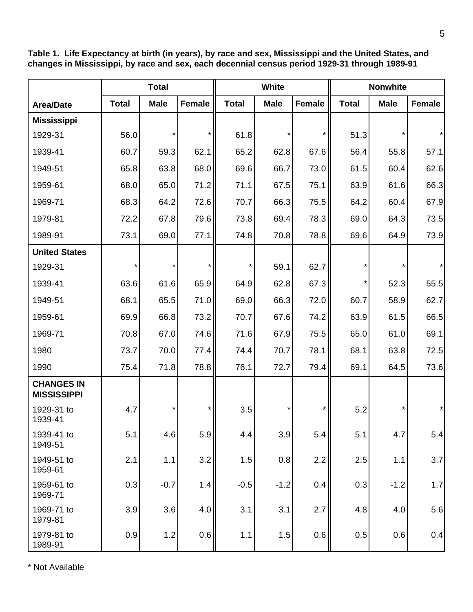|                                         |              | <b>Total</b> |         | <b>White</b> |             |               | <b>Nonwhite</b> |             |        |
|-----------------------------------------|--------------|--------------|---------|--------------|-------------|---------------|-----------------|-------------|--------|
| <b>Area/Date</b>                        | <b>Total</b> | <b>Male</b>  | Female  | <b>Total</b> | <b>Male</b> | <b>Female</b> | <b>Total</b>    | <b>Male</b> | Female |
| <b>Mississippi</b>                      |              |              |         |              |             |               |                 |             |        |
| 1929-31                                 | 56.0         |              | $\star$ | 61.8         |             | *             | 51.3            |             |        |
| 1939-41                                 | 60.7         | 59.3         | 62.1    | 65.2         | 62.8        | 67.6          | 56.4            | 55.8        | 57.1   |
| 1949-51                                 | 65.8         | 63.8         | 68.0    | 69.6         | 66.7        | 73.0          | 61.5            | 60.4        | 62.6   |
| 1959-61                                 | 68.0         | 65.0         | 71.2    | 71.1         | 67.5        | 75.1          | 63.9            | 61.6        | 66.3   |
| 1969-71                                 | 68.3         | 64.2         | 72.6    | 70.7         | 66.3        | 75.5          | 64.2            | 60.4        | 67.9   |
| 1979-81                                 | 72.2         | 67.8         | 79.6    | 73.8         | 69.4        | 78.3          | 69.0            | 64.3        | 73.5   |
| 1989-91                                 | 73.1         | 69.0         | 77.1    | 74.8         | 70.8        | 78.8          | 69.6            | 64.9        | 73.9   |
| <b>United States</b>                    |              |              |         |              |             |               |                 |             |        |
| 1929-31                                 | $\star$      |              | $\star$ |              | 59.1        | 62.7          | $^\star$        |             |        |
| 1939-41                                 | 63.6         | 61.6         | 65.9    | 64.9         | 62.8        | 67.3          | $\star$         | 52.3        | 55.5   |
| 1949-51                                 | 68.1         | 65.5         | 71.0    | 69.0         | 66.3        | 72.0          | 60.7            | 58.9        | 62.7   |
| 1959-61                                 | 69.9         | 66.8         | 73.2    | 70.7         | 67.6        | 74.2          | 63.9            | 61.5        | 66.5   |
| 1969-71                                 | 70.8         | 67.0         | 74.6    | 71.6         | 67.9        | 75.5          | 65.0            | 61.0        | 69.1   |
| 1980                                    | 73.7         | 70.0         | 77.4    | 74.4         | 70.7        | 78.1          | 68.1            | 63.8        | 72.5   |
| 1990                                    | 75.4         | 71.8         | 78.8    | 76.1         | 72.7        | 79.4          | 69.1            | 64.5        | 73.6   |
| <b>CHANGES IN</b><br><b>MISSISSIPPI</b> |              |              |         |              |             |               |                 |             |        |
| 1929-31 to<br>1939-41                   | 4.7          | $^\star$     | $\star$ | 3.5          |             | *             | 5.2             | $^\star$    |        |
| 1939-41 to<br>1949-51                   | 5.1          | 4.6          | 5.9     | 4.4          | 3.9         | 5.4           | 5.1             | 4.7         | 5.4    |
| 1949-51 to<br>1959-61                   | 2.1          | $1.1$        | 3.2     | 1.5          | 0.8         | 2.2           | 2.5             | 1.1         | 3.7    |
| 1959-61 to<br>1969-71                   | 0.3          | $-0.7$       | 1.4     | $-0.5$       | $-1.2$      | 0.4           | 0.3             | $-1.2$      | 1.7    |
| 1969-71 to<br>1979-81                   | 3.9          | 3.6          | 4.0     | 3.1          | 3.1         | 2.7           | 4.8             | 4.0         | 5.6    |
| 1979-81 to<br>1989-91                   | 0.9          | 1.2          | 0.6     | 1.1          | 1.5         | 0.6           | 0.5             | 0.6         | 0.4    |

**Table 1. Life Expectancy at birth (in years), by race and sex, Mississippi and the United States, and changes in Mississippi, by race and sex, each decennial census period 1929-31 through 1989-91**

\* Not Available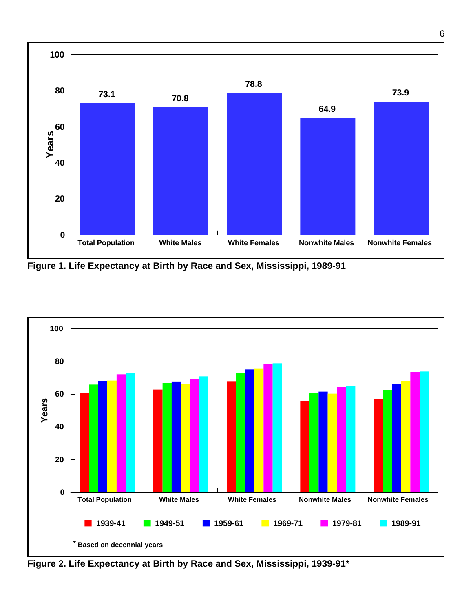

**Figure 1. Life Expectancy at Birth by Race and Sex, Mississippi, 1989-91**



**Figure 2. Life Expectancy at Birth by Race and Sex, Mississippi, 1939-91\***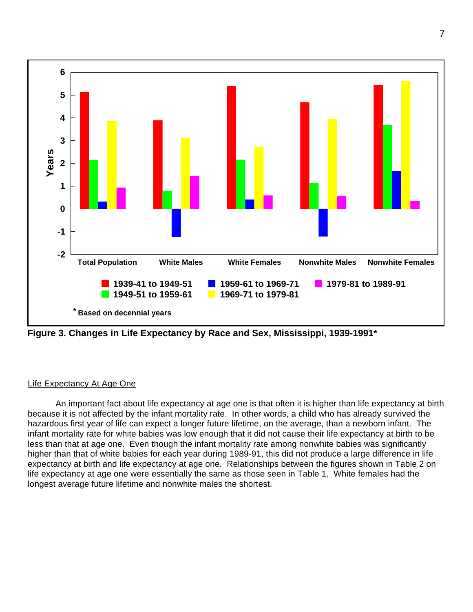

**Figure 3. Changes in Life Expectancy by Race and Sex, Mississippi, 1939-1991\***

## Life Expectancy At Age One

An important fact about life expectancy at age one is that often it is higher than life expectancy at birth because it is not affected by the infant mortality rate. In other words, a child who has already survived the hazardous first year of life can expect a longer future lifetime, on the average, than a newborn infant. The infant mortality rate for white babies was low enough that it did not cause their life expectancy at birth to be less than that at age one. Even though the infant mortality rate among nonwhite babies was significantly higher than that of white babies for each year during 1989-91, this did not produce a large difference in life expectancy at birth and life expectancy at age one. Relationships between the figures shown in Table 2 on life expectancy at age one were essentially the same as those seen in Table 1. White females had the longest average future lifetime and nonwhite males the shortest.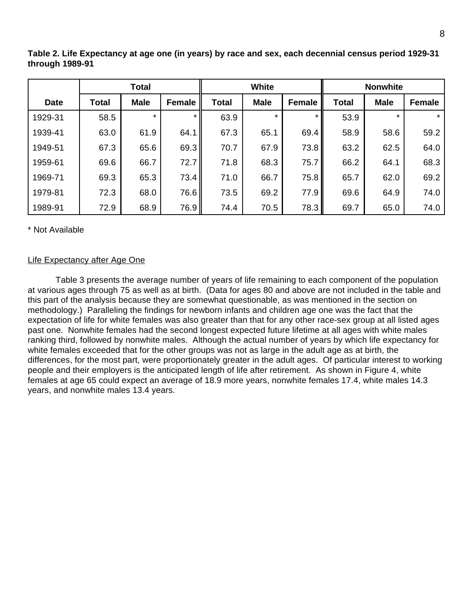|             |       | <b>Total</b> |               |              | <b>White</b><br><b>Nonwhite</b> |        |              |             |               |
|-------------|-------|--------------|---------------|--------------|---------------------------------|--------|--------------|-------------|---------------|
| <b>Date</b> | Total | <b>Male</b>  | <b>Female</b> | <b>Total</b> | <b>Male</b>                     | Female | <b>Total</b> | <b>Male</b> | <b>Female</b> |
| 1929-31     | 58.5  | $\star$      |               | 63.9         | $\star$                         |        | 53.9         | $\star$     | $\star$       |
| 1939-41     | 63.0  | 61.9         | 64.1          | 67.3         | 65.1                            | 69.4   | 58.9         | 58.6        | 59.2          |
| 1949-51     | 67.3  | 65.6         | 69.3          | 70.7         | 67.9                            | 73.8   | 63.2         | 62.5        | 64.0          |
| 1959-61     | 69.6  | 66.7         | 72.7          | 71.8         | 68.3                            | 75.7   | 66.2         | 64.1        | 68.3          |
| 1969-71     | 69.3  | 65.3         | 73.4          | 71.0         | 66.7                            | 75.8   | 65.7         | 62.0        | 69.2          |
| 1979-81     | 72.3  | 68.0         | 76.6          | 73.5         | 69.2                            | 77.9   | 69.6         | 64.9        | 74.0          |
| 1989-91     | 72.9  | 68.9         | 76.9          | 74.4         | 70.5                            | 78.3   | 69.7         | 65.0        | 74.0          |

**Table 2. Life Expectancy at age one (in years) by race and sex, each decennial census period 1929-31 through 1989-91** 

#### \* Not Available

#### Life Expectancy after Age One

Table 3 presents the average number of years of life remaining to each component of the population at various ages through 75 as well as at birth. (Data for ages 80 and above are not included in the table and this part of the analysis because they are somewhat questionable, as was mentioned in the section on methodology.) Paralleling the findings for newborn infants and children age one was the fact that the expectation of life for white females was also greater than that for any other race-sex group at all listed ages past one. Nonwhite females had the second longest expected future lifetime at all ages with white males ranking third, followed by nonwhite males. Although the actual number of years by which life expectancy for white females exceeded that for the other groups was not as large in the adult age as at birth, the differences, for the most part, were proportionately greater in the adult ages. Of particular interest to working people and their employers is the anticipated length of life after retirement. As shown in Figure 4, white females at age 65 could expect an average of 18.9 more years, nonwhite females 17.4, white males 14.3 years, and nonwhite males 13.4 years.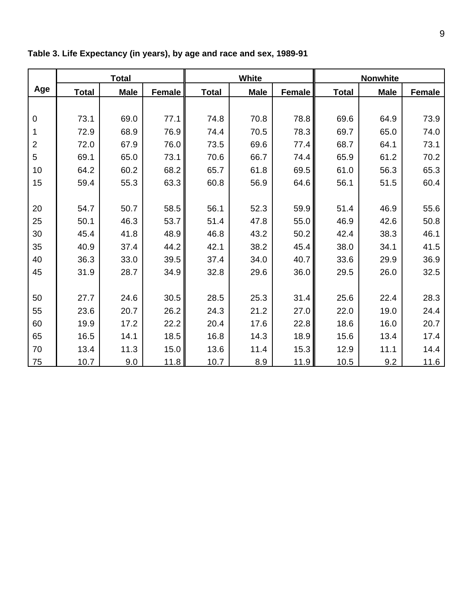|                |              | <b>Total</b> |               |              | <b>White</b><br><b>Nonwhite</b> |               |              |             |        |
|----------------|--------------|--------------|---------------|--------------|---------------------------------|---------------|--------------|-------------|--------|
| Age            | <b>Total</b> | <b>Male</b>  | <b>Female</b> | <b>Total</b> | <b>Male</b>                     | <b>Female</b> | <b>Total</b> | <b>Male</b> | Female |
|                |              |              |               |              |                                 |               |              |             |        |
| $\pmb{0}$      | 73.1         | 69.0         | 77.1          | 74.8         | 70.8                            | 78.8          | 69.6         | 64.9        | 73.9   |
| 1              | 72.9         | 68.9         | 76.9          | 74.4         | 70.5                            | 78.3          | 69.7         | 65.0        | 74.0   |
| $\overline{2}$ | 72.0         | 67.9         | 76.0          | 73.5         | 69.6                            | 77.4          | 68.7         | 64.1        | 73.1   |
| 5              | 69.1         | 65.0         | 73.1          | 70.6         | 66.7                            | 74.4          | 65.9         | 61.2        | 70.2   |
| 10             | 64.2         | 60.2         | 68.2          | 65.7         | 61.8                            | 69.5          | 61.0         | 56.3        | 65.3   |
| 15             | 59.4         | 55.3         | 63.3          | 60.8         | 56.9                            | 64.6          | 56.1         | 51.5        | 60.4   |
|                |              |              |               |              |                                 |               |              |             |        |
| 20             | 54.7         | 50.7         | 58.5          | 56.1         | 52.3                            | 59.9          | 51.4         | 46.9        | 55.6   |
| 25             | 50.1         | 46.3         | 53.7          | 51.4         | 47.8                            | 55.0          | 46.9         | 42.6        | 50.8   |
| 30             | 45.4         | 41.8         | 48.9          | 46.8         | 43.2                            | 50.2          | 42.4         | 38.3        | 46.1   |
| 35             | 40.9         | 37.4         | 44.2          | 42.1         | 38.2                            | 45.4          | 38.0         | 34.1        | 41.5   |
| 40             | 36.3         | 33.0         | 39.5          | 37.4         | 34.0                            | 40.7          | 33.6         | 29.9        | 36.9   |
| 45             | 31.9         | 28.7         | 34.9          | 32.8         | 29.6                            | 36.0          | 29.5         | 26.0        | 32.5   |
|                |              |              |               |              |                                 |               |              |             |        |
| 50             | 27.7         | 24.6         | 30.5          | 28.5         | 25.3                            | 31.4          | 25.6         | 22.4        | 28.3   |
| 55             | 23.6         | 20.7         | 26.2          | 24.3         | 21.2                            | 27.0          | 22.0         | 19.0        | 24.4   |
| 60             | 19.9         | 17.2         | 22.2          | 20.4         | 17.6                            | 22.8          | 18.6         | 16.0        | 20.7   |
| 65             | 16.5         | 14.1         | 18.5          | 16.8         | 14.3                            | 18.9          | 15.6         | 13.4        | 17.4   |
| 70             | 13.4         | 11.3         | 15.0          | 13.6         | 11.4                            | 15.3          | 12.9         | 11.1        | 14.4   |
| 75             | 10.7         | 9.0          | 11.8          | 10.7         | 8.9                             | 11.9          | 10.5         | 9.2         | 11.6   |

**Table 3. Life Expectancy (in years), by age and race and sex, 1989-91**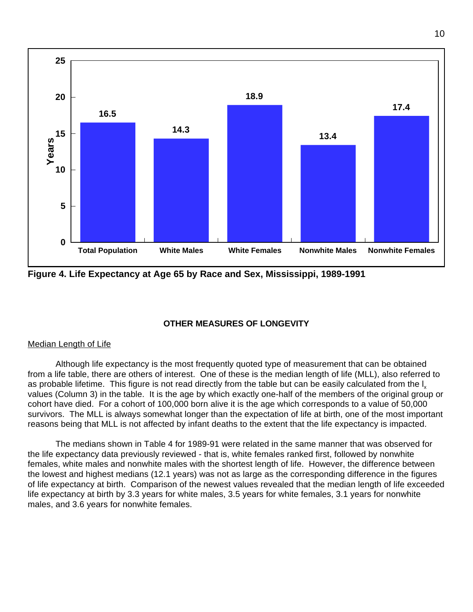

**Figure 4. Life Expectancy at Age 65 by Race and Sex, Mississippi, 1989-1991**

## **OTHER MEASURES OF LONGEVITY**

#### Median Length of Life

Although life expectancy is the most frequently quoted type of measurement that can be obtained from a life table, there are others of interest. One of these is the median length of life (MLL), also referred to as probable lifetime. This figure is not read directly from the table but can be easily calculated from the  $I_{x}$ values (Column 3) in the table. It is the age by which exactly one-half of the members of the original group or cohort have died. For a cohort of 100,000 born alive it is the age which corresponds to a value of 50,000 survivors. The MLL is always somewhat longer than the expectation of life at birth, one of the most important reasons being that MLL is not affected by infant deaths to the extent that the life expectancy is impacted.

The medians shown in Table 4 for 1989-91 were related in the same manner that was observed for the life expectancy data previously reviewed - that is, white females ranked first, followed by nonwhite females, white males and nonwhite males with the shortest length of life. However, the difference between the lowest and highest medians (12.1 years) was not as large as the corresponding difference in the figures of life expectancy at birth. Comparison of the newest values revealed that the median length of life exceeded life expectancy at birth by 3.3 years for white males, 3.5 years for white females, 3.1 years for nonwhite males, and 3.6 years for nonwhite females.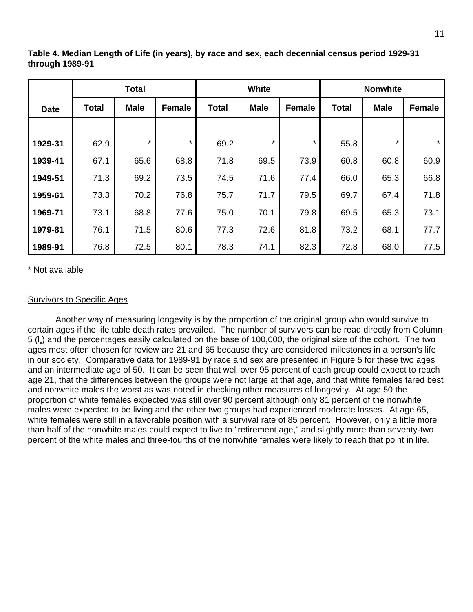|             |              | <b>Total</b> |               | <b>White</b> |             |               | <b>Nonwhite</b> |             |               |
|-------------|--------------|--------------|---------------|--------------|-------------|---------------|-----------------|-------------|---------------|
| <b>Date</b> | <b>Total</b> | <b>Male</b>  | <b>Female</b> | <b>Total</b> | <b>Male</b> | <b>Female</b> | <b>Total</b>    | <b>Male</b> | <b>Female</b> |
|             |              |              |               |              |             |               |                 |             |               |
| 1929-31     | 62.9         | $\star$      | $\star$       | 69.2         | *           | $\star$       | 55.8            | $\star$     | $\star$       |
| 1939-41     | 67.1         | 65.6         | 68.8          | 71.8         | 69.5        | 73.9          | 60.8            | 60.8        | 60.9          |
| 1949-51     | 71.3         | 69.2         | 73.5          | 74.5         | 71.6        | 77.4          | 66.0            | 65.3        | 66.8          |
| 1959-61     | 73.3         | 70.2         | 76.8          | 75.7         | 71.7        | 79.5          | 69.7            | 67.4        | 71.8          |
| 1969-71     | 73.1         | 68.8         | 77.6          | 75.0         | 70.1        | 79.8          | 69.5            | 65.3        | 73.1          |
| 1979-81     | 76.1         | 71.5         | 80.6          | 77.3         | 72.6        | 81.8          | 73.2            | 68.1        | 77.7          |
| 1989-91     | 76.8         | 72.5         | 80.1          | 78.3         | 74.1        | 82.3          | 72.8            | 68.0        | 77.5          |

**Table 4. Median Length of Life (in years), by race and sex, each decennial census period 1929-31 through 1989-91**

\* Not available

#### Survivors to Specific Ages

Another way of measuring longevity is by the proportion of the original group who would survive to certain ages if the life table death rates prevailed. The number of survivors can be read directly from Column 5 (l<sub>x</sub>) and the percentages easily calculated on the base of 100,000, the original size of the cohort. The two ages most often chosen for review are 21 and 65 because they are considered milestones in a person's life in our society. Comparative data for 1989-91 by race and sex are presented in Figure 5 for these two ages and an intermediate age of 50. It can be seen that well over 95 percent of each group could expect to reach age 21, that the differences between the groups were not large at that age, and that white females fared best and nonwhite males the worst as was noted in checking other measures of longevity. At age 50 the proportion of white females expected was still over 90 percent although only 81 percent of the nonwhite males were expected to be living and the other two groups had experienced moderate losses. At age 65, white females were still in a favorable position with a survival rate of 85 percent. However, only a little more than half of the nonwhite males could expect to live to "retirement age," and slightly more than seventy-two percent of the white males and three-fourths of the nonwhite females were likely to reach that point in life.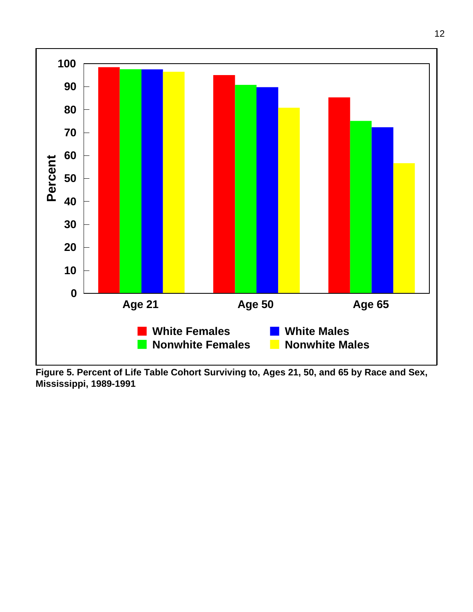

**Figure 5. Percent of Life Table Cohort Surviving to, Ages 21, 50, and 65 by Race and Sex, Mississippi, 1989-1991**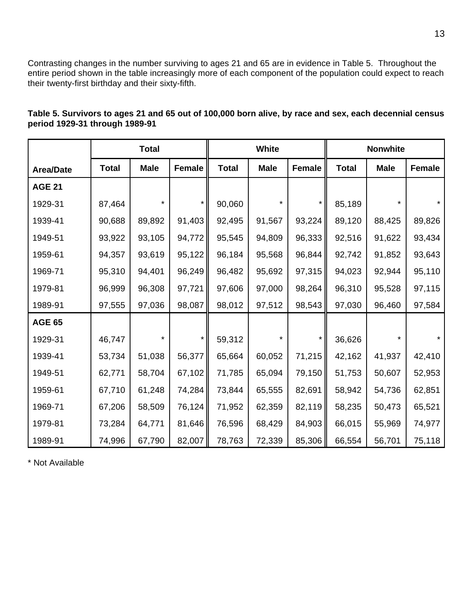Contrasting changes in the number surviving to ages 21 and 65 are in evidence in Table 5. Throughout the entire period shown in the table increasingly more of each component of the population could expect to reach their twenty-first birthday and their sixty-fifth.

|                  | <b>Total</b> |             |               | <b>White</b> |             |               | <b>Nonwhite</b> |             |         |  |
|------------------|--------------|-------------|---------------|--------------|-------------|---------------|-----------------|-------------|---------|--|
| <b>Area/Date</b> | <b>Total</b> | <b>Male</b> | <b>Female</b> | <b>Total</b> | <b>Male</b> | <b>Female</b> | <b>Total</b>    | <b>Male</b> | Female  |  |
| <b>AGE 21</b>    |              |             |               |              |             |               |                 |             |         |  |
| 1929-31          | 87,464       | $\star$     |               | 90,060       | $^\star$    | $\star$       | 85,189          | *           | $\star$ |  |
| 1939-41          | 90,688       | 89,892      | 91,403        | 92,495       | 91,567      | 93,224        | 89,120          | 88,425      | 89,826  |  |
| 1949-51          | 93,922       | 93,105      | 94,772        | 95,545       | 94,809      | 96,333        | 92,516          | 91,622      | 93,434  |  |
| 1959-61          | 94,357       | 93,619      | 95,122        | 96,184       | 95,568      | 96,844        | 92,742          | 91,852      | 93,643  |  |
| 1969-71          | 95,310       | 94,401      | 96,249        | 96,482       | 95,692      | 97,315        | 94,023          | 92,944      | 95,110  |  |
| 1979-81          | 96,999       | 96,308      | 97,721        | 97,606       | 97,000      | 98,264        | 96,310          | 95,528      | 97,115  |  |
| 1989-91          | 97,555       | 97,036      | 98,087        | 98,012       | 97,512      | 98,543        | 97,030          | 96,460      | 97,584  |  |
| <b>AGE 65</b>    |              |             |               |              |             |               |                 |             |         |  |
| 1929-31          | 46,747       | $\star$     | *             | 59,312       | $^\star$    | $\star$       | 36,626          |             | $\star$ |  |
| 1939-41          | 53,734       | 51,038      | 56,377        | 65,664       | 60,052      | 71,215        | 42,162          | 41,937      | 42,410  |  |
| 1949-51          | 62,771       | 58,704      | 67,102        | 71,785       | 65,094      | 79,150        | 51,753          | 50,607      | 52,953  |  |
| 1959-61          | 67,710       | 61,248      | 74,284        | 73,844       | 65,555      | 82,691        | 58,942          | 54,736      | 62,851  |  |
| 1969-71          | 67,206       | 58,509      | 76,124        | 71,952       | 62,359      | 82,119        | 58,235          | 50,473      | 65,521  |  |
| 1979-81          | 73,284       | 64,771      | 81,646        | 76,596       | 68,429      | 84,903        | 66,015          | 55,969      | 74,977  |  |
| 1989-91          | 74,996       | 67,790      | 82,007        | 78,763       | 72,339      | 85,306        | 66,554          | 56,701      | 75,118  |  |

| Table 5. Survivors to ages 21 and 65 out of 100,000 born alive, by race and sex, each decennial census |  |  |
|--------------------------------------------------------------------------------------------------------|--|--|
| period 1929-31 through 1989-91                                                                         |  |  |

\* Not Available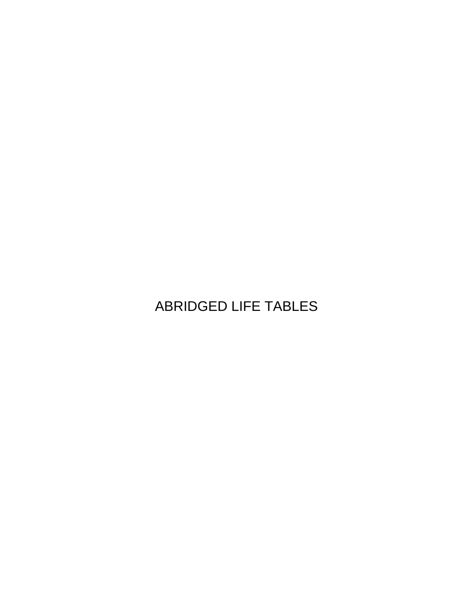## ABRIDGED LIFE TABLES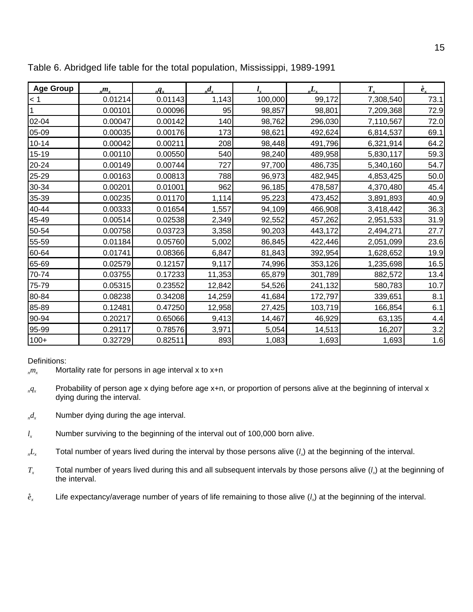| <b>Age Group</b> | $_m^m$  | $\mathbf{q}_x$ | $d_{x}$ | $l_{x}$ | $_{n}L_{x}$ | $T_{r}$   | $\mathring{\boldsymbol{e}}_{r}$ |
|------------------|---------|----------------|---------|---------|-------------|-----------|---------------------------------|
| < 1              | 0.01214 | 0.01143        | 1,143   | 100,000 | 99,172      | 7,308,540 | 73.1                            |
|                  | 0.00101 | 0.00096        | 95      | 98,857  | 98,801      | 7,209,368 | 72.9                            |
| 02-04            | 0.00047 | 0.00142        | 140     | 98,762  | 296,030     | 7,110,567 | 72.0                            |
| 05-09            | 0.00035 | 0.00176        | 173     | 98,621  | 492,624     | 6,814,537 | 69.1                            |
| $10 - 14$        | 0.00042 | 0.00211        | 208     | 98,448  | 491,796     | 6,321,914 | 64.2                            |
| 15-19            | 0.00110 | 0.00550        | 540     | 98,240  | 489,958     | 5,830,117 | 59.3                            |
| 20-24            | 0.00149 | 0.00744        | 727     | 97,700  | 486,735     | 5,340,160 | 54.7                            |
| 25-29            | 0.00163 | 0.00813        | 788     | 96,973  | 482,945     | 4,853,425 | 50.0                            |
| 30-34            | 0.00201 | 0.01001        | 962     | 96,185  | 478,587     | 4,370,480 | 45.4                            |
| 35-39            | 0.00235 | 0.01170        | 1,114   | 95,223  | 473,452     | 3,891,893 | 40.9                            |
| 40-44            | 0.00333 | 0.01654        | 1,557   | 94,109  | 466,908     | 3,418,442 | 36.3                            |
| 45-49            | 0.00514 | 0.02538        | 2,349   | 92,552  | 457,262     | 2,951,533 | 31.9                            |
| 50-54            | 0.00758 | 0.03723        | 3,358   | 90,203  | 443,172     | 2,494,271 | 27.7                            |
| 55-59            | 0.01184 | 0.05760        | 5,002   | 86,845  | 422,446     | 2,051,099 | 23.6                            |
| 60-64            | 0.01741 | 0.08366        | 6,847   | 81,843  | 392,954     | 1,628,652 | 19.9                            |
| 65-69            | 0.02579 | 0.12157        | 9,117   | 74,996  | 353,126     | 1,235,698 | 16.5                            |
| 70-74            | 0.03755 | 0.17233        | 11,353  | 65,879  | 301,789     | 882,572   | 13.4                            |
| 75-79            | 0.05315 | 0.23552        | 12,842  | 54,526  | 241,132     | 580,783   | 10.7                            |
| 80-84            | 0.08238 | 0.34208        | 14,259  | 41,684  | 172,797     | 339,651   | 8.1                             |
| 85-89            | 0.12481 | 0.47250        | 12,958  | 27,425  | 103,719     | 166,854   | 6.1                             |
| 90-94            | 0.20217 | 0.65066        | 9,413   | 14,467  | 46,929      | 63,135    | 4.4                             |
| 95-99            | 0.29117 | 0.78576        | 3,971   | 5,054   | 14,513      | 16,207    | 3.2                             |
| $100+$           | 0.32729 | 0.82511        | 893     | 1,083   | 1,693       | 1,693     | 1.6                             |

Table 6. Abridged life table for the total population, Mississippi, 1989-1991

- *<sup>n</sup>q<sup>x</sup>* Probability of person age x dying before age x+n, or proportion of persons alive at the beginning of interval x dying during the interval.
- $d_x$  Number dying during the age interval.
- $l_{x}$  Number surviving to the beginning of the interval out of 100,000 born alive.
- $L_x$  Total number of years lived during the interval by those persons alive  $(l_x)$  at the beginning of the interval.
- *T<sub>x</sub>* Total number of years lived during this and all subsequent intervals by those persons alive  $(l_x)$  at the beginning of the interval.
- $\dot{e}_x$  Life expectancy/average number of years of life remaining to those alive  $(l_x)$  at the beginning of the interval.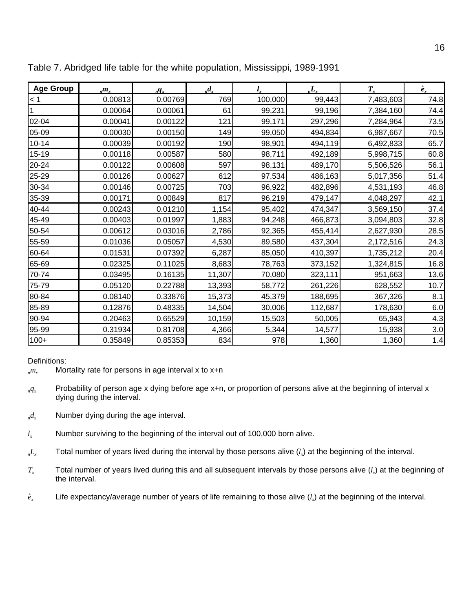| <b>Age Group</b> | $_m m_r$ | $_{n}q_{x}$ | $_{n}d_{x}$ | $l_{\star}$ | $L_{\rm r}$ | $T_{r}$   | $\mathring{\boldsymbol{e}}$ . |
|------------------|----------|-------------|-------------|-------------|-------------|-----------|-------------------------------|
| < 1              | 0.00813  | 0.00769     | 769         | 100,000     | 99,443      | 7,483,603 | 74.8                          |
|                  | 0.00064  | 0.00061     | 61          | 99,231      | 99,196      | 7,384,160 | 74.4                          |
| 02-04            | 0.00041  | 0.00122     | 121         | 99,171      | 297,296     | 7,284,964 | 73.5                          |
| 05-09            | 0.00030  | 0.00150     | 149         | 99,050      | 494,834     | 6,987,667 | 70.5                          |
| $10 - 14$        | 0.00039  | 0.00192     | 190         | 98,901      | 494,119     | 6,492,833 | 65.7                          |
| $15-19$          | 0.00118  | 0.00587     | 580         | 98,711      | 492,189     | 5,998,715 | 60.8                          |
| 20-24            | 0.00122  | 0.00608     | 597         | 98,131      | 489,170     | 5,506,526 | 56.1                          |
| 25-29            | 0.00126  | 0.00627     | 612         | 97,534      | 486,163     | 5,017,356 | 51.4                          |
| 30-34            | 0.00146  | 0.00725     | 703         | 96,922      | 482,896     | 4,531,193 | 46.8                          |
| 35-39            | 0.00171  | 0.00849     | 817         | 96,219      | 479,147     | 4,048,297 | 42.1                          |
| 40-44            | 0.00243  | 0.01210     | 1,154       | 95,402      | 474,347     | 3,569,150 | 37.4                          |
| 45-49            | 0.00403  | 0.01997     | 1,883       | 94,248      | 466,873     | 3,094,803 | 32.8                          |
| 50-54            | 0.00612  | 0.03016     | 2,786       | 92,365      | 455,414     | 2,627,930 | 28.5                          |
| 55-59            | 0.01036  | 0.05057     | 4,530       | 89,580      | 437,304     | 2,172,516 | 24.3                          |
| 60-64            | 0.01531  | 0.07392     | 6,287       | 85,050      | 410,397     | 1,735,212 | 20.4                          |
| 65-69            | 0.02325  | 0.11025     | 8,683       | 78,763      | 373,152     | 1,324,815 | 16.8                          |
| 70-74            | 0.03495  | 0.16135     | 11,307      | 70,080      | 323,111     | 951,663   | 13.6                          |
| 75-79            | 0.05120  | 0.22788     | 13,393      | 58,772      | 261,226     | 628,552   | 10.7                          |
| 80-84            | 0.08140  | 0.33876     | 15,373      | 45,379      | 188,695     | 367,326   | 8.1                           |
| 85-89            | 0.12876  | 0.48335     | 14,504      | 30,006      | 112,687     | 178,630   | 6.0                           |
| 90-94            | 0.20463  | 0.65529     | 10,159      | 15,503      | 50,005      | 65,943    | 4.3                           |
| 95-99            | 0.31934  | 0.81708     | 4,366       | 5,344       | 14,577      | 15,938    | 3.0                           |
| $100+$           | 0.35849  | 0.85353     | 834         | 978         | 1,360       | 1,360     | 1.4                           |

Table 7. Abridged life table for the white population, Mississippi, 1989-1991

- *<sup>n</sup>q<sup>x</sup>* Probability of person age x dying before age x+n, or proportion of persons alive at the beginning of interval x dying during the interval.
- $d_x$  Number dying during the age interval.
- $l_{x}$  Number surviving to the beginning of the interval out of 100,000 born alive.
- $L_x$  Total number of years lived during the interval by those persons alive  $(l_x)$  at the beginning of the interval.
- *T<sub>x</sub>* Total number of years lived during this and all subsequent intervals by those persons alive  $(l_x)$  at the beginning of the interval.
- $\dot{e}_x$  Life expectancy/average number of years of life remaining to those alive  $(l_x)$  at the beginning of the interval.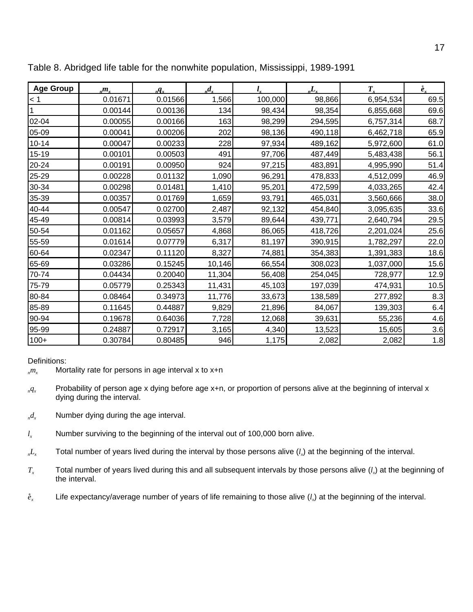| <b>Age Group</b> | $_{n}m_{x}$ | $_{n}q_{x}$ | $d_{x}$ | $l_{r}$ | $_{n}L_{x}$ | $T_{r}$   | $\mathring{\boldsymbol{e}}$ . |
|------------------|-------------|-------------|---------|---------|-------------|-----------|-------------------------------|
| < 1              | 0.01671     | 0.01566     | 1,566   | 100,000 | 98,866      | 6,954,534 | 69.5                          |
|                  | 0.00144     | 0.00136     | 134     | 98,434  | 98,354      | 6,855,668 | 69.6                          |
| 02-04            | 0.00055     | 0.00166     | 163     | 98,299  | 294,595     | 6,757,314 | 68.7                          |
| 05-09            | 0.00041     | 0.00206     | 202     | 98,136  | 490,118     | 6,462,718 | 65.9                          |
| $10 - 14$        | 0.00047     | 0.00233     | 228     | 97,934  | 489,162     | 5,972,600 | 61.0                          |
| $15-19$          | 0.00101     | 0.00503     | 491     | 97,706  | 487,449     | 5,483,438 | 56.1                          |
| 20-24            | 0.00191     | 0.00950     | 924     | 97,215  | 483,891     | 4,995,990 | 51.4                          |
| 25-29            | 0.00228     | 0.01132     | 1,090   | 96,291  | 478,833     | 4,512,099 | 46.9                          |
| 30-34            | 0.00298     | 0.01481     | 1,410   | 95,201  | 472,599     | 4,033,265 | 42.4                          |
| 35-39            | 0.00357     | 0.01769     | 1,659   | 93,791  | 465,031     | 3,560,666 | 38.0                          |
| 40-44            | 0.00547     | 0.02700     | 2,487   | 92,132  | 454,840     | 3,095,635 | 33.6                          |
| 45-49            | 0.00814     | 0.03993     | 3,579   | 89,644  | 439,771     | 2,640,794 | 29.5                          |
| 50-54            | 0.01162     | 0.05657     | 4,868   | 86,065  | 418,726     | 2,201,024 | 25.6                          |
| 55-59            | 0.01614     | 0.07779     | 6,317   | 81,197  | 390,915     | 1,782,297 | 22.0                          |
| 60-64            | 0.02347     | 0.11120     | 8,327   | 74,881  | 354,383     | 1,391,383 | 18.6                          |
| 65-69            | 0.03286     | 0.15245     | 10,146  | 66,554  | 308,023     | 1,037,000 | 15.6                          |
| 70-74            | 0.04434     | 0.20040     | 11,304  | 56,408  | 254,045     | 728,977   | 12.9                          |
| 75-79            | 0.05779     | 0.25343     | 11,431  | 45,103  | 197,039     | 474,931   | 10.5                          |
| 80-84            | 0.08464     | 0.34973     | 11,776  | 33,673  | 138,589     | 277,892   | 8.3                           |
| 85-89            | 0.11645     | 0.44887     | 9,829   | 21,896  | 84,067      | 139,303   | 6.4                           |
| 90-94            | 0.19678     | 0.64036     | 7,728   | 12,068  | 39,631      | 55,236    | 4.6                           |
| 95-99            | 0.24887     | 0.72917     | 3,165   | 4,340   | 13,523      | 15,605    | 3.6                           |
| $100+$           | 0.30784     | 0.80485     | 946     | 1,175   | 2,082       | 2,082     | 1.8                           |

Table 8. Abridged life table for the nonwhite population, Mississippi, 1989-1991

- *<sup>n</sup>q<sup>x</sup>* Probability of person age x dying before age x+n, or proportion of persons alive at the beginning of interval x dying during the interval.
- $d_x$  Number dying during the age interval.
- $l_{x}$  Number surviving to the beginning of the interval out of 100,000 born alive.
- $L_x$  Total number of years lived during the interval by those persons alive  $(l_x)$  at the beginning of the interval.
- *T<sub>x</sub>* Total number of years lived during this and all subsequent intervals by those persons alive  $(l_x)$  at the beginning of the interval.
- $\dot{e}_x$  Life expectancy/average number of years of life remaining to those alive  $(l_x)$  at the beginning of the interval.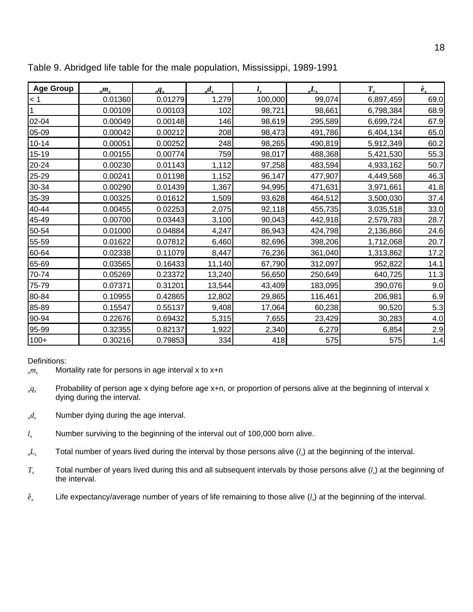| <b>Age Group</b> | $_m m_x$ | $_{n}q_{x}$ | $d_{x}$ | l.      | $_{n}L_{r}$ | $T_{r}$   | $\mathring{e}_r$ |
|------------------|----------|-------------|---------|---------|-------------|-----------|------------------|
| < 1              | 0.01360  | 0.01279     | 1,279   | 100,000 | 99,074      | 6,897,459 | 69.0             |
|                  | 0.00109  | 0.00103     | 102     | 98,721  | 98,661      | 6,798,384 | 68.9             |
| 02-04            | 0.00049  | 0.00148     | 146     | 98,619  | 295,589     | 6,699,724 | 67.9             |
| 05-09            | 0.00042  | 0.00212     | 208     | 98,473  | 491,786     | 6,404,134 | 65.0             |
| $10 - 14$        | 0.00051  | 0.00252     | 248     | 98,265  | 490,819     | 5,912,349 | 60.2             |
| 15-19            | 0.00155  | 0.00774     | 759     | 98,017  | 488,368     | 5,421,530 | 55.3             |
| 20-24            | 0.00230  | 0.01143     | 1,112   | 97,258  | 483,594     | 4,933,162 | 50.7             |
| 25-29            | 0.00241  | 0.01198     | 1,152   | 96,147  | 477,907     | 4,449,568 | 46.3             |
| 30-34            | 0.00290  | 0.01439     | 1,367   | 94,995  | 471,631     | 3,971,661 | 41.8             |
| 35-39            | 0.00325  | 0.01612     | 1,509   | 93,628  | 464,512     | 3,500,030 | 37.4             |
| 40-44            | 0.00455  | 0.02253     | 2,075   | 92,118  | 455,735     | 3,035,518 | 33.0             |
| 45-49            | 0.00700  | 0.03443     | 3,100   | 90,043  | 442,918     | 2,579,783 | 28.7             |
| 50-54            | 0.01000  | 0.04884     | 4,247   | 86,943  | 424,798     | 2,136,866 | 24.6             |
| 55-59            | 0.01622  | 0.07812     | 6,460   | 82,696  | 398,206     | 1,712,068 | 20.7             |
| 60-64            | 0.02338  | 0.11079     | 8,447   | 76,236  | 361,040     | 1,313,862 | 17.2             |
| 65-69            | 0.03565  | 0.16433     | 11,140  | 67,790  | 312,097     | 952,822   | 14.1             |
| 70-74            | 0.05269  | 0.23372     | 13,240  | 56,650  | 250,649     | 640,725   | 11.3             |
| 75-79            | 0.07371  | 0.31201     | 13,544  | 43,409  | 183,095     | 390,076   | 9.0              |
| 80-84            | 0.10955  | 0.42865     | 12,802  | 29,865  | 116,461     | 206,981   | 6.9              |
| 85-89            | 0.15547  | 0.55137     | 9,408   | 17,064  | 60,238      | 90,520    | 5.3              |
| 90-94            | 0.22676  | 0.69432     | 5,315   | 7,655   | 23,429      | 30,283    | 4.0              |
| 95-99            | 0.32355  | 0.82137     | 1,922   | 2,340   | 6,279       | 6,854     | 2.9              |
| $100+$           | 0.30216  | 0.79853     | 334     | 418     | 575         | 575       | 1.4              |

Table 9. Abridged life table for the male population, Mississippi, 1989-1991

- *<sup>n</sup>q<sup>x</sup>* Probability of person age x dying before age x+n, or proportion of persons alive at the beginning of interval x dying during the interval.
- $d_x$  Number dying during the age interval.
- $l_{x}$  Number surviving to the beginning of the interval out of 100,000 born alive.
- $L_x$  Total number of years lived during the interval by those persons alive  $(l_x)$  at the beginning of the interval.
- *T<sub>x</sub>* Total number of years lived during this and all subsequent intervals by those persons alive  $(l_x)$  at the beginning of the interval.
- $\dot{e}_x$  Life expectancy/average number of years of life remaining to those alive  $(l_x)$  at the beginning of the interval.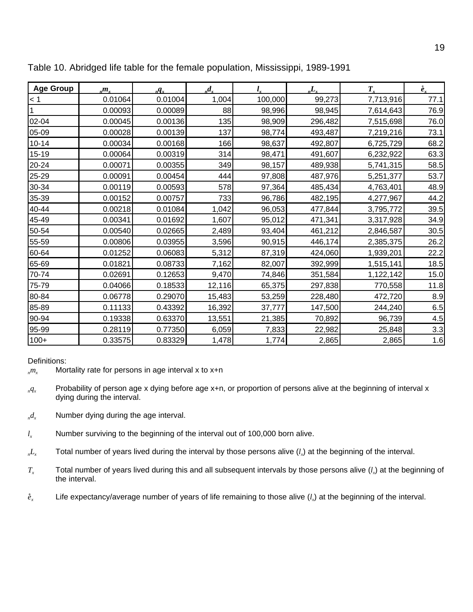| <b>Age Group</b> | $_m^m$  | $\mathbf{q}_x$ | $_{n}d_{x}$ | $l_{r}$ | $_{n}L_{x}$ | $T_{r}$   | $\mathring{\boldsymbol{e}}_{r}$ |
|------------------|---------|----------------|-------------|---------|-------------|-----------|---------------------------------|
| < 1              | 0.01064 | 0.01004        | 1,004       | 100,000 | 99,273      | 7,713,916 | 77.1                            |
|                  | 0.00093 | 0.00089        | 88          | 98,996  | 98,945      | 7,614,643 | 76.9                            |
| 02-04            | 0.00045 | 0.00136        | 135         | 98,909  | 296,482     | 7,515,698 | 76.0                            |
| 05-09            | 0.00028 | 0.00139        | 137         | 98,774  | 493,487     | 7,219,216 | 73.1                            |
| $10 - 14$        | 0.00034 | 0.00168        | 166         | 98,637  | 492,807     | 6,725,729 | 68.2                            |
| 15-19            | 0.00064 | 0.00319        | 314         | 98,471  | 491,607     | 6,232,922 | 63.3                            |
| 20-24            | 0.00071 | 0.00355        | 349         | 98,157  | 489,938     | 5,741,315 | 58.5                            |
| 25-29            | 0.00091 | 0.00454        | 444         | 97,808  | 487,976     | 5,251,377 | 53.7                            |
| 30-34            | 0.00119 | 0.00593        | 578         | 97,364  | 485,434     | 4,763,401 | 48.9                            |
| 35-39            | 0.00152 | 0.00757        | 733         | 96,786  | 482,195     | 4,277,967 | 44.2                            |
| 40-44            | 0.00218 | 0.01084        | 1,042       | 96,053  | 477,844     | 3,795,772 | 39.5                            |
| 45-49            | 0.00341 | 0.01692        | 1,607       | 95,012  | 471,341     | 3,317,928 | 34.9                            |
| 50-54            | 0.00540 | 0.02665        | 2,489       | 93,404  | 461,212     | 2,846,587 | 30.5                            |
| 55-59            | 0.00806 | 0.03955        | 3,596       | 90,915  | 446,174     | 2,385,375 | 26.2                            |
| 60-64            | 0.01252 | 0.06083        | 5,312       | 87,319  | 424,060     | 1,939,201 | 22.2                            |
| 65-69            | 0.01821 | 0.08733        | 7,162       | 82,007  | 392,999     | 1,515,141 | 18.5                            |
| 70-74            | 0.02691 | 0.12653        | 9,470       | 74,846  | 351,584     | 1,122,142 | 15.0                            |
| 75-79            | 0.04066 | 0.18533        | 12,116      | 65,375  | 297,838     | 770,558   | 11.8                            |
| 80-84            | 0.06778 | 0.29070        | 15,483      | 53,259  | 228,480     | 472,720   | 8.9                             |
| 85-89            | 0.11133 | 0.43392        | 16,392      | 37,777  | 147,500     | 244,240   | 6.5                             |
| 90-94            | 0.19338 | 0.63370        | 13,551      | 21,385  | 70,892      | 96,739    | 4.5                             |
| 95-99            | 0.28119 | 0.77350        | 6,059       | 7,833   | 22,982      | 25,848    | 3.3                             |
| $100+$           | 0.33575 | 0.83329        | 1,478       | 1,774   | 2,865       | 2,865     | 1.6                             |

Table 10. Abridged life table for the female population, Mississippi, 1989-1991

- *<sup>n</sup>q<sup>x</sup>* Probability of person age x dying before age x+n, or proportion of persons alive at the beginning of interval x dying during the interval.
- $d_x$  Number dying during the age interval.
- $l_{x}$  Number surviving to the beginning of the interval out of 100,000 born alive.
- $L_x$  Total number of years lived during the interval by those persons alive  $(l_x)$  at the beginning of the interval.
- *T<sub>x</sub>* Total number of years lived during this and all subsequent intervals by those persons alive  $(l_x)$  at the beginning of the interval.
- $\dot{e}_x$  Life expectancy/average number of years of life remaining to those alive  $(l_x)$  at the beginning of the interval.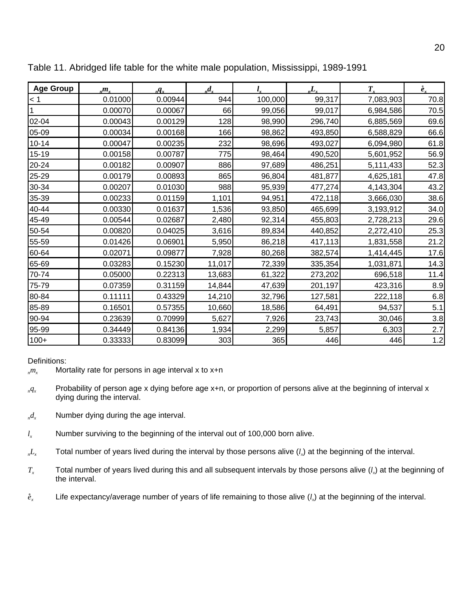| <b>Age Group</b> | $_m m_{\rm x}$ | $_{n}q_{x}$ | $_{n}d_{x}$ | $l_{r}$ | $\mathbf{L}_{\mathbf{r}}$ | $T_{r}$   | $\mathring{e}_r$ |
|------------------|----------------|-------------|-------------|---------|---------------------------|-----------|------------------|
| < 1              | 0.01000        | 0.00944     | 944         | 100,000 | 99,317                    | 7,083,903 | 70.8             |
|                  | 0.00070        | 0.00067     | 66          | 99,056  | 99,017                    | 6,984,586 | 70.5             |
| 02-04            | 0.00043        | 0.00129     | 128         | 98,990  | 296,740                   | 6,885,569 | 69.6             |
| 05-09            | 0.00034        | 0.00168     | 166         | 98,862  | 493,850                   | 6,588,829 | 66.6             |
| $10 - 14$        | 0.00047        | 0.00235     | 232         | 98,696  | 493,027                   | 6,094,980 | 61.8             |
| 15-19            | 0.00158        | 0.00787     | 775         | 98,464  | 490,520                   | 5,601,952 | 56.9             |
| 20-24            | 0.00182        | 0.00907     | 886         | 97,689  | 486,251                   | 5,111,433 | 52.3             |
| 25-29            | 0.00179        | 0.00893     | 865         | 96,804  | 481,877                   | 4,625,181 | 47.8             |
| 30-34            | 0.00207        | 0.01030     | 988         | 95,939  | 477,274                   | 4,143,304 | 43.2             |
| 35-39            | 0.00233        | 0.01159     | 1,101       | 94,951  | 472,118                   | 3,666,030 | 38.6             |
| 40-44            | 0.00330        | 0.01637     | 1,536       | 93,850  | 465,699                   | 3,193,912 | 34.0             |
| 45-49            | 0.00544        | 0.02687     | 2,480       | 92,314  | 455,803                   | 2,728,213 | 29.6             |
| 50-54            | 0.00820        | 0.04025     | 3,616       | 89,834  | 440,852                   | 2,272,410 | 25.3             |
| 55-59            | 0.01426        | 0.06901     | 5,950       | 86,218  | 417,113                   | 1,831,558 | 21.2             |
| 60-64            | 0.02071        | 0.09877     | 7,928       | 80,268  | 382,574                   | 1,414,445 | 17.6             |
| 65-69            | 0.03283        | 0.15230     | 11,017      | 72,339  | 335,354                   | 1,031,871 | 14.3             |
| 70-74            | 0.05000        | 0.22313     | 13,683      | 61,322  | 273,202                   | 696,518   | 11.4             |
| 75-79            | 0.07359        | 0.31159     | 14,844      | 47,639  | 201,197                   | 423,316   | 8.9              |
| 80-84            | 0.11111        | 0.43329     | 14,210      | 32,796  | 127,581                   | 222,118   | 6.8              |
| 85-89            | 0.16501        | 0.57355     | 10,660      | 18,586  | 64,491                    | 94,537    | 5.1              |
| 90-94            | 0.23639        | 0.70999     | 5,627       | 7,926   | 23,743                    | 30,046    | 3.8              |
| 95-99            | 0.34449        | 0.84136     | 1,934       | 2,299   | 5,857                     | 6,303     | 2.7              |
| $100+$           | 0.33333        | 0.83099     | 303         | 365     | 446                       | 446       | 1.2              |

Table 11. Abridged life table for the white male population, Mississippi, 1989-1991

- *<sup>n</sup>q<sup>x</sup>* Probability of person age x dying before age x+n, or proportion of persons alive at the beginning of interval x dying during the interval.
- $d_x$  Number dying during the age interval.
- $l_{x}$  Number surviving to the beginning of the interval out of 100,000 born alive.
- $L_x$  Total number of years lived during the interval by those persons alive  $(l_x)$  at the beginning of the interval.
- *T<sub>x</sub>* Total number of years lived during this and all subsequent intervals by those persons alive  $(l_x)$  at the beginning of the interval.
- $\dot{e}_x$  Life expectancy/average number of years of life remaining to those alive  $(l_x)$  at the beginning of the interval.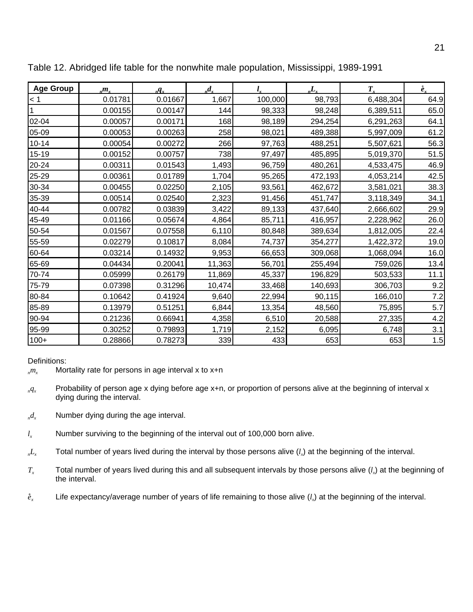| <b>Age Group</b> | $_m m_x$ | $_{n}q_{x}$ | ${}_{n}d_{x}$ | l.      | $\mathbf{L}_{\mathbf{x}}$ | $T_{r}$   | $\mathring{e}_r$ |
|------------------|----------|-------------|---------------|---------|---------------------------|-----------|------------------|
| $\leq 1$         | 0.01781  | 0.01667     | 1,667         | 100,000 | 98,793                    | 6,488,304 | 64.9             |
|                  | 0.00155  | 0.00147     | 144           | 98,333  | 98,248                    | 6,389,511 | 65.0             |
| 02-04            | 0.00057  | 0.00171     | 168           | 98,189  | 294,254                   | 6,291,263 | 64.1             |
| 05-09            | 0.00053  | 0.00263     | 258           | 98,021  | 489,388                   | 5,997,009 | 61.2             |
| $10 - 14$        | 0.00054  | 0.00272     | 266           | 97,763  | 488,251                   | 5,507,621 | 56.3             |
| 15-19            | 0.00152  | 0.00757     | 738           | 97,497  | 485,895                   | 5,019,370 | 51.5             |
| 20-24            | 0.00311  | 0.01543     | 1,493         | 96,759  | 480,261                   | 4,533,475 | 46.9             |
| 25-29            | 0.00361  | 0.01789     | 1,704         | 95,265  | 472,193                   | 4,053,214 | 42.5             |
| 30-34            | 0.00455  | 0.02250     | 2,105         | 93,561  | 462,672                   | 3,581,021 | 38.3             |
| 35-39            | 0.00514  | 0.02540     | 2,323         | 91,456  | 451,747                   | 3,118,349 | 34.1             |
| 40-44            | 0.00782  | 0.03839     | 3,422         | 89,133  | 437,640                   | 2,666,602 | 29.9             |
| 45-49            | 0.01166  | 0.05674     | 4,864         | 85,711  | 416,957                   | 2,228,962 | 26.0             |
| 50-54            | 0.01567  | 0.07558     | 6,110         | 80,848  | 389,634                   | 1,812,005 | 22.4             |
| 55-59            | 0.02279  | 0.10817     | 8,084         | 74,737  | 354,277                   | 1,422,372 | 19.0             |
| 60-64            | 0.03214  | 0.14932     | 9,953         | 66,653  | 309,068                   | 1,068,094 | 16.0             |
| 65-69            | 0.04434  | 0.20041     | 11,363        | 56,701  | 255,494                   | 759,026   | 13.4             |
| 70-74            | 0.05999  | 0.26179     | 11,869        | 45,337  | 196,829                   | 503,533   | 11.1             |
| 75-79            | 0.07398  | 0.31296     | 10,474        | 33,468  | 140,693                   | 306,703   | 9.2              |
| 80-84            | 0.10642  | 0.41924     | 9,640         | 22,994  | 90,115                    | 166,010   | 7.2              |
| 85-89            | 0.13979  | 0.51251     | 6,844         | 13,354  | 48,560                    | 75,895    | 5.7              |
| 90-94            | 0.21236  | 0.66941     | 4,358         | 6,510   | 20,588                    | 27,335    | 4.2              |
| 95-99            | 0.30252  | 0.79893     | 1,719         | 2,152   | 6,095                     | 6,748     | 3.1              |
| $100+$           | 0.28866  | 0.78273     | 339           | 433     | 653                       | 653       | 1.5              |

Table 12. Abridged life table for the nonwhite male population, Mississippi, 1989-1991

- *<sup>n</sup>q<sup>x</sup>* Probability of person age x dying before age x+n, or proportion of persons alive at the beginning of interval x dying during the interval.
- $d_x$  Number dying during the age interval.
- $l_{x}$  Number surviving to the beginning of the interval out of 100,000 born alive.
- $L_x$  Total number of years lived during the interval by those persons alive  $(l_x)$  at the beginning of the interval.
- *T<sub>x</sub>* Total number of years lived during this and all subsequent intervals by those persons alive  $(l_x)$  at the beginning of the interval.
- $\dot{e}_x$  Life expectancy/average number of years of life remaining to those alive  $(l_x)$  at the beginning of the interval.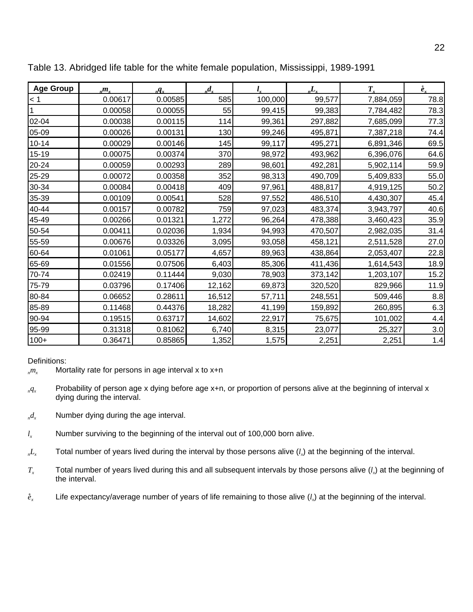| <b>Age Group</b> | $_m^m$  | $\mathbf{q}_x$ | $_{n}d_{x}$ | $l_{r}$ | $_{n}L_{x}$ | $T_{r}$   | $\mathring{\boldsymbol{e}}_{r}$ |
|------------------|---------|----------------|-------------|---------|-------------|-----------|---------------------------------|
| < 1              | 0.00617 | 0.00585        | 585         | 100,000 | 99,577      | 7,884,059 | 78.8                            |
|                  | 0.00058 | 0.00055        | 55          | 99,415  | 99,383      | 7,784,482 | 78.3                            |
| 02-04            | 0.00038 | 0.00115        | 114         | 99,361  | 297,882     | 7,685,099 | 77.3                            |
| 05-09            | 0.00026 | 0.00131        | 130         | 99,246  | 495,871     | 7,387,218 | 74.4                            |
| $10 - 14$        | 0.00029 | 0.00146        | 145         | 99,117  | 495,271     | 6,891,346 | 69.5                            |
| 15-19            | 0.00075 | 0.00374        | 370         | 98,972  | 493,962     | 6,396,076 | 64.6                            |
| 20-24            | 0.00059 | 0.00293        | 289         | 98,601  | 492,281     | 5,902,114 | 59.9                            |
| 25-29            | 0.00072 | 0.00358        | 352         | 98,313  | 490,709     | 5,409,833 | 55.0                            |
| 30-34            | 0.00084 | 0.00418        | 409         | 97,961  | 488,817     | 4,919,125 | 50.2                            |
| 35-39            | 0.00109 | 0.00541        | 528         | 97,552  | 486,510     | 4,430,307 | 45.4                            |
| 40-44            | 0.00157 | 0.00782        | 759         | 97,023  | 483,374     | 3,943,797 | 40.6                            |
| 45-49            | 0.00266 | 0.01321        | 1,272       | 96,264  | 478,388     | 3,460,423 | 35.9                            |
| 50-54            | 0.00411 | 0.02036        | 1,934       | 94,993  | 470,507     | 2,982,035 | 31.4                            |
| 55-59            | 0.00676 | 0.03326        | 3,095       | 93,058  | 458,121     | 2,511,528 | 27.0                            |
| 60-64            | 0.01061 | 0.05177        | 4,657       | 89,963  | 438,864     | 2,053,407 | 22.8                            |
| 65-69            | 0.01556 | 0.07506        | 6,403       | 85,306  | 411,436     | 1,614,543 | 18.9                            |
| 70-74            | 0.02419 | 0.11444        | 9,030       | 78,903  | 373,142     | 1,203,107 | 15.2                            |
| 75-79            | 0.03796 | 0.17406        | 12,162      | 69,873  | 320,520     | 829,966   | 11.9                            |
| 80-84            | 0.06652 | 0.28611        | 16,512      | 57,711  | 248,551     | 509,446   | 8.8                             |
| 85-89            | 0.11468 | 0.44376        | 18,282      | 41,199  | 159,892     | 260,895   | 6.3                             |
| 90-94            | 0.19515 | 0.63717        | 14,602      | 22,917  | 75,675      | 101,002   | 4.4                             |
| 95-99            | 0.31318 | 0.81062        | 6,740       | 8,315   | 23,077      | 25,327    | 3.0                             |
| $100+$           | 0.36471 | 0.85865        | 1,352       | 1,575   | 2,251       | 2,251     | 1.4                             |

Table 13. Abridged life table for the white female population, Mississippi, 1989-1991

- *<sup>n</sup>q<sup>x</sup>* Probability of person age x dying before age x+n, or proportion of persons alive at the beginning of interval x dying during the interval.
- $d_x$  Number dying during the age interval.
- $l_{x}$  Number surviving to the beginning of the interval out of 100,000 born alive.
- $L_x$  Total number of years lived during the interval by those persons alive  $(l_x)$  at the beginning of the interval.
- *T<sub>x</sub>* Total number of years lived during this and all subsequent intervals by those persons alive  $(l_x)$  at the beginning of the interval.
- $\dot{e}_x$  Life expectancy/average number of years of life remaining to those alive  $(l_x)$  at the beginning of the interval.